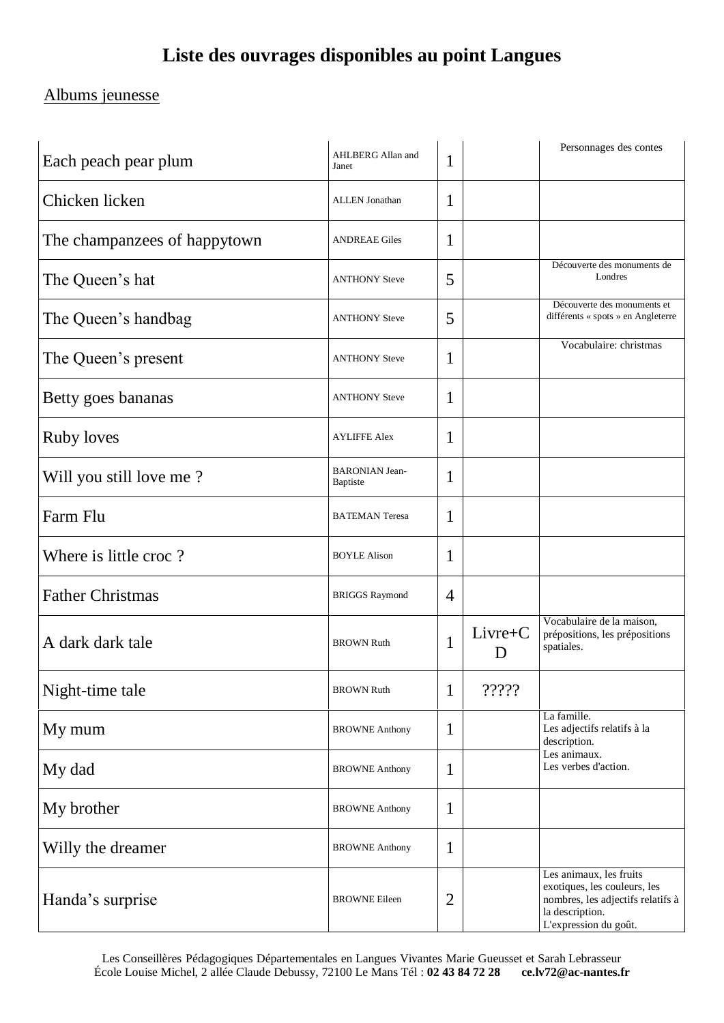# **Liste des ouvrages disponibles au point Langues**

### Albums jeunesse

| Each peach pear plum         | AHLBERG Allan and<br>Janet        | 1              |                | Personnages des contes                                                                                                                   |  |
|------------------------------|-----------------------------------|----------------|----------------|------------------------------------------------------------------------------------------------------------------------------------------|--|
| Chicken licken               | <b>ALLEN</b> Jonathan             | 1              |                |                                                                                                                                          |  |
| The champanzees of happytown | <b>ANDREAE Giles</b>              | 1              |                |                                                                                                                                          |  |
| The Queen's hat              | <b>ANTHONY Steve</b>              | 5              |                | Découverte des monuments de<br>Londres                                                                                                   |  |
| The Queen's handbag          | <b>ANTHONY Steve</b>              | 5              |                | Découverte des monuments et<br>différents « spots » en Angleterre                                                                        |  |
| The Queen's present          | <b>ANTHONY Steve</b>              | 1              |                | Vocabulaire: christmas                                                                                                                   |  |
| Betty goes bananas           | <b>ANTHONY Steve</b>              | 1              |                |                                                                                                                                          |  |
| <b>Ruby loves</b>            | <b>AYLIFFE Alex</b>               | 1              |                |                                                                                                                                          |  |
| Will you still love me?      | <b>BARONIAN Jean-</b><br>Baptiste | 1              |                |                                                                                                                                          |  |
| Farm Flu                     | <b>BATEMAN Teresa</b>             | 1              |                |                                                                                                                                          |  |
| Where is little croc?        | <b>BOYLE Alison</b>               | 1              |                |                                                                                                                                          |  |
| <b>Father Christmas</b>      | <b>BRIGGS Raymond</b>             | $\overline{4}$ |                |                                                                                                                                          |  |
| A dark dark tale             | <b>BROWN Ruth</b>                 | 1              | $Livre+C$<br>D | Vocabulaire de la maison,<br>prépositions, les prépositions<br>spatiales.                                                                |  |
| Night-time tale              | <b>BROWN Ruth</b>                 | $\bf{l}$       | ?????          |                                                                                                                                          |  |
| My mum                       | <b>BROWNE Anthony</b>             | $\mathbf{1}$   |                | La famille.<br>Les adjectifs relatifs à la<br>description.                                                                               |  |
| My dad                       | <b>BROWNE Anthony</b>             | 1              |                | Les animaux.<br>Les verbes d'action.                                                                                                     |  |
| My brother                   | <b>BROWNE Anthony</b>             | $\mathbf{1}$   |                |                                                                                                                                          |  |
| Willy the dreamer            | <b>BROWNE Anthony</b>             | 1              |                |                                                                                                                                          |  |
| Handa's surprise             | <b>BROWNE</b> Eileen              | 2              |                | Les animaux, les fruits<br>exotiques, les couleurs, les<br>nombres, les adjectifs relatifs à<br>la description.<br>L'expression du goût. |  |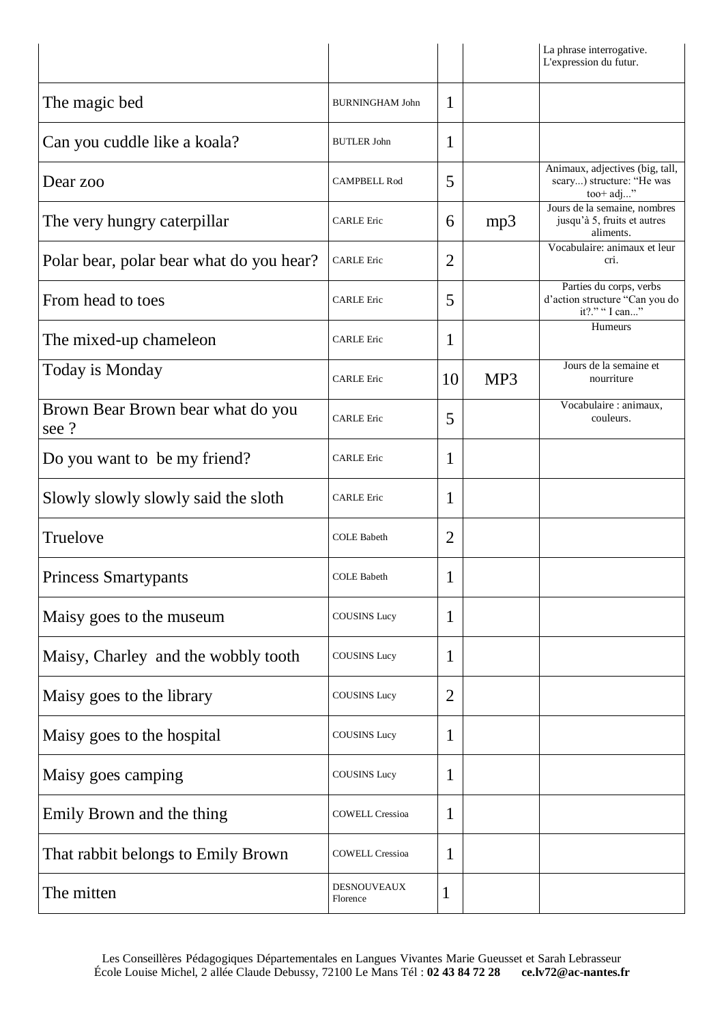|                                           |                                |                |     | La phrase interrogative.<br>L'expression du futur.                          |
|-------------------------------------------|--------------------------------|----------------|-----|-----------------------------------------------------------------------------|
| The magic bed                             | <b>BURNINGHAM John</b>         | 1              |     |                                                                             |
| Can you cuddle like a koala?              | <b>BUTLER John</b>             | 1              |     |                                                                             |
| Dear zoo                                  | <b>CAMPBELL Rod</b>            | 5              |     | Animaux, adjectives (big, tall,<br>scary) structure: "He was<br>$too+adj$ " |
| The very hungry caterpillar               | <b>CARLE</b> Eric              | 6              | mp3 | Jours de la semaine, nombres<br>jusqu'à 5, fruits et autres<br>aliments.    |
| Polar bear, polar bear what do you hear?  | <b>CARLE</b> Eric              | $\overline{2}$ |     | Vocabulaire: animaux et leur<br>cri.                                        |
| From head to toes                         | <b>CARLE</b> Eric              | 5              |     | Parties du corps, verbs<br>d'action structure "Can you do<br>it?." " I can" |
| The mixed-up chameleon                    | <b>CARLE</b> Eric              | 1              |     | <b>Humeurs</b>                                                              |
| Today is Monday                           | <b>CARLE</b> Eric              | 10             | MP3 | Jours de la semaine et<br>nourriture                                        |
| Brown Bear Brown bear what do you<br>see? | <b>CARLE</b> Eric              | 5              |     | Vocabulaire : animaux,<br>couleurs.                                         |
| Do you want to be my friend?              | <b>CARLE Eric</b>              | 1              |     |                                                                             |
| Slowly slowly slowly said the sloth       | <b>CARLE</b> Eric              | 1              |     |                                                                             |
| Truelove                                  | <b>COLE Babeth</b>             | $\overline{2}$ |     |                                                                             |
| <b>Princess Smartypants</b>               | <b>COLE Babeth</b>             | 1              |     |                                                                             |
| Maisy goes to the museum                  | <b>COUSINS Lucy</b>            | 1              |     |                                                                             |
| Maisy, Charley and the wobbly tooth       | <b>COUSINS Lucy</b>            | 1              |     |                                                                             |
| Maisy goes to the library                 | <b>COUSINS</b> Lucy            | $\overline{2}$ |     |                                                                             |
| Maisy goes to the hospital                | <b>COUSINS Lucy</b>            | 1              |     |                                                                             |
| Maisy goes camping                        | <b>COUSINS Lucy</b>            | 1              |     |                                                                             |
| Emily Brown and the thing                 | <b>COWELL Cressioa</b>         | 1              |     |                                                                             |
| That rabbit belongs to Emily Brown        | <b>COWELL Cressioa</b>         | 1              |     |                                                                             |
| The mitten                                | <b>DESNOUVEAUX</b><br>Florence | 1              |     |                                                                             |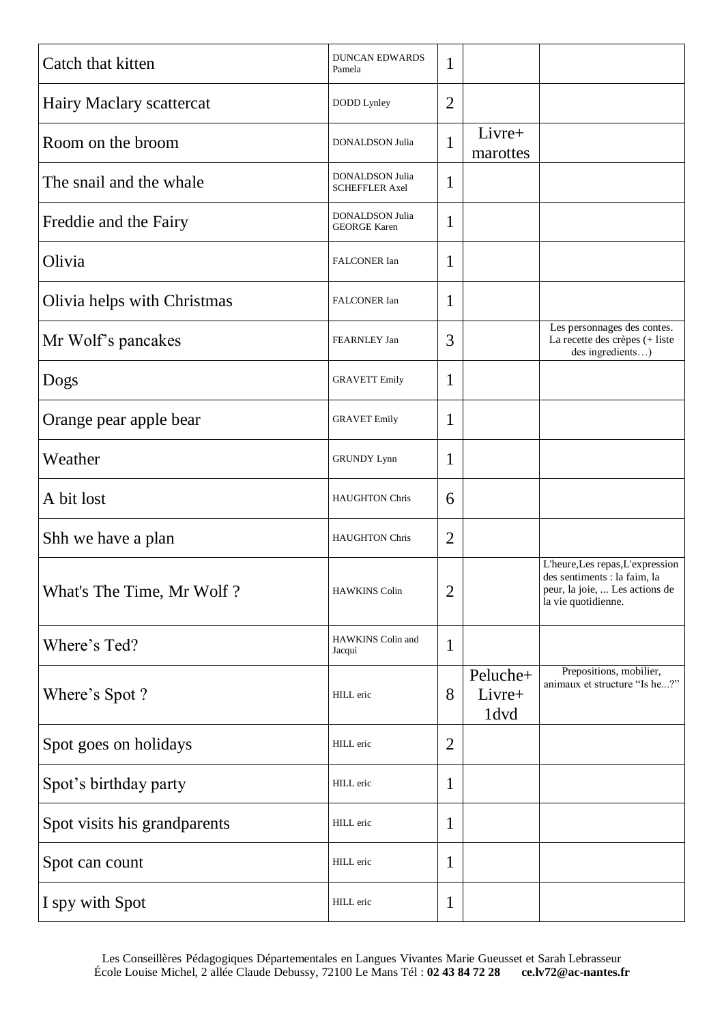| Catch that kitten            | <b>DUNCAN EDWARDS</b><br>Pamela          | 1              |                            |                                                                                                                         |
|------------------------------|------------------------------------------|----------------|----------------------------|-------------------------------------------------------------------------------------------------------------------------|
| Hairy Maclary scattercat     | DODD Lynley                              | $\overline{2}$ |                            |                                                                                                                         |
| Room on the broom            | DONALDSON Julia                          | 1              | Livre+<br>marottes         |                                                                                                                         |
| The snail and the whale      | DONALDSON Julia<br><b>SCHEFFLER Axel</b> | 1              |                            |                                                                                                                         |
| Freddie and the Fairy        | DONALDSON Julia<br><b>GEORGE Karen</b>   | 1              |                            |                                                                                                                         |
| Olivia                       | FALCONER Ian                             | 1              |                            |                                                                                                                         |
| Olivia helps with Christmas  | FALCONER Ian                             | 1              |                            |                                                                                                                         |
| Mr Wolf's pancakes           | FEARNLEY Jan                             | 3              |                            | Les personnages des contes.<br>La recette des crèpes (+ liste<br>des ingredients)                                       |
| Dogs                         | <b>GRAVETT Emily</b>                     | 1              |                            |                                                                                                                         |
| Orange pear apple bear       | <b>GRAVET</b> Emily                      | 1              |                            |                                                                                                                         |
| Weather                      | <b>GRUNDY Lynn</b>                       | 1              |                            |                                                                                                                         |
| A bit lost                   | <b>HAUGHTON Chris</b>                    | 6              |                            |                                                                                                                         |
| Shh we have a plan           | <b>HAUGHTON Chris</b>                    | $\overline{2}$ |                            |                                                                                                                         |
| What's The Time, Mr Wolf?    | HAWKINS Colin                            | $\overline{2}$ |                            | L'heure,Les repas,L'expression<br>des sentiments : la faim, la<br>peur, la joie,  Les actions de<br>la vie quotidienne. |
| Where's Ted?                 | HAWKINS Colin and<br>Jacqui              | $\mathbf{1}$   |                            |                                                                                                                         |
| Where's Spot?                | HILL eric                                | 8              | Peluche+<br>Livre+<br>1dvd | Prepositions, mobilier,<br>animaux et structure "Is he?"                                                                |
| Spot goes on holidays        | HILL eric                                | $\overline{2}$ |                            |                                                                                                                         |
| Spot's birthday party        | HILL eric                                | $\mathbf{1}$   |                            |                                                                                                                         |
| Spot visits his grandparents | HILL eric                                | $\mathbf{1}$   |                            |                                                                                                                         |
| Spot can count               | HILL eric                                | $\mathbf{1}$   |                            |                                                                                                                         |
| I spy with Spot              | HILL eric                                | $\mathbf 1$    |                            |                                                                                                                         |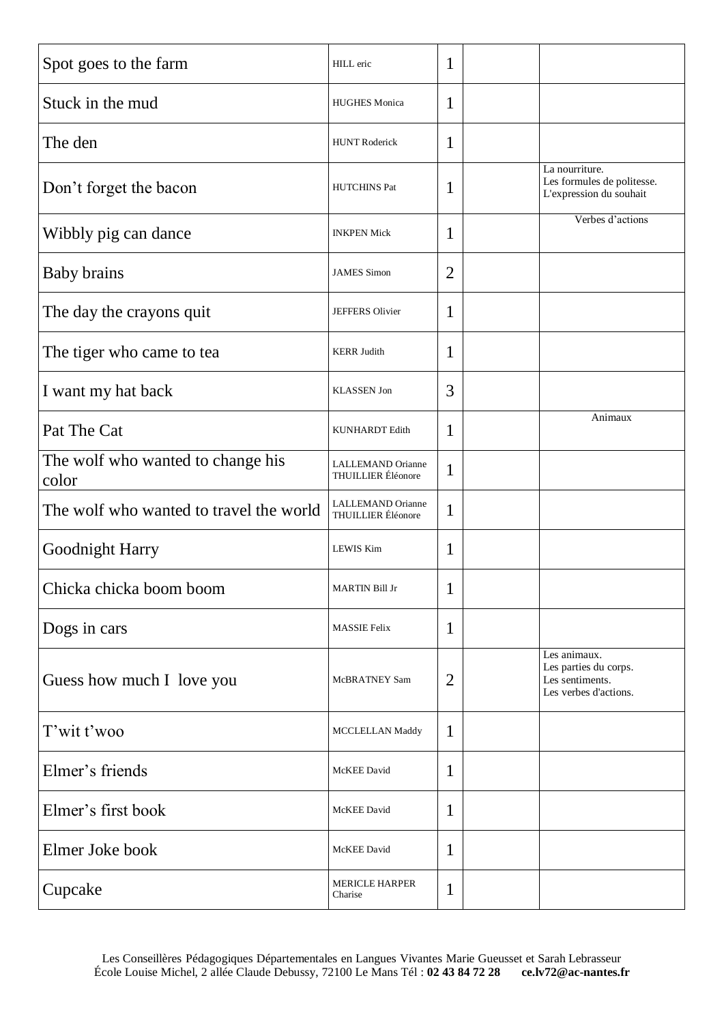| Spot goes to the farm                      | HILL eric                                      | 1              |                                                                                   |
|--------------------------------------------|------------------------------------------------|----------------|-----------------------------------------------------------------------------------|
| Stuck in the mud                           | <b>HUGHES Monica</b>                           | 1              |                                                                                   |
| The den                                    | <b>HUNT Roderick</b>                           | 1              |                                                                                   |
| Don't forget the bacon                     | <b>HUTCHINS Pat</b>                            | 1              | La nourriture.<br>Les formules de politesse.<br>L'expression du souhait           |
| Wibbly pig can dance                       | <b>INKPEN Mick</b>                             | 1              | Verbes d'actions                                                                  |
| <b>Baby brains</b>                         | <b>JAMES Simon</b>                             | $\overline{2}$ |                                                                                   |
| The day the crayons quit                   | JEFFERS Olivier                                | 1              |                                                                                   |
| The tiger who came to tea                  | <b>KERR Judith</b>                             | 1              |                                                                                   |
| I want my hat back                         | <b>KLASSEN Jon</b>                             | 3              |                                                                                   |
| Pat The Cat                                | <b>KUNHARDT</b> Edith                          | 1              | Animaux                                                                           |
| The wolf who wanted to change his<br>color | LALLEMAND Orianne<br>THUILLIER Éléonore        | $\mathbf{1}$   |                                                                                   |
| The wolf who wanted to travel the world    | LALLEMAND Orianne<br><b>THUILLIER</b> Éléonore | $\mathbf{1}$   |                                                                                   |
| Goodnight Harry                            | <b>LEWIS Kim</b>                               | 1              |                                                                                   |
| Chicka chicka boom boom                    | MARTIN Bill Jr                                 | 1              |                                                                                   |
| Dogs in cars                               | <b>MASSIE Felix</b>                            | 1              |                                                                                   |
| Guess how much I love you                  | McBRATNEY Sam                                  | $\overline{2}$ | Les animaux.<br>Les parties du corps.<br>Les sentiments.<br>Les verbes d'actions. |
| T'wit t'woo                                | MCCLELLAN Maddy                                | 1              |                                                                                   |
| Elmer's friends                            | McKEE David                                    | 1              |                                                                                   |
| Elmer's first book                         | McKEE David                                    | 1              |                                                                                   |
| Elmer Joke book                            | McKEE David                                    | 1              |                                                                                   |
| Cupcake                                    | <b>MERICLE HARPER</b><br>Charise               | 1              |                                                                                   |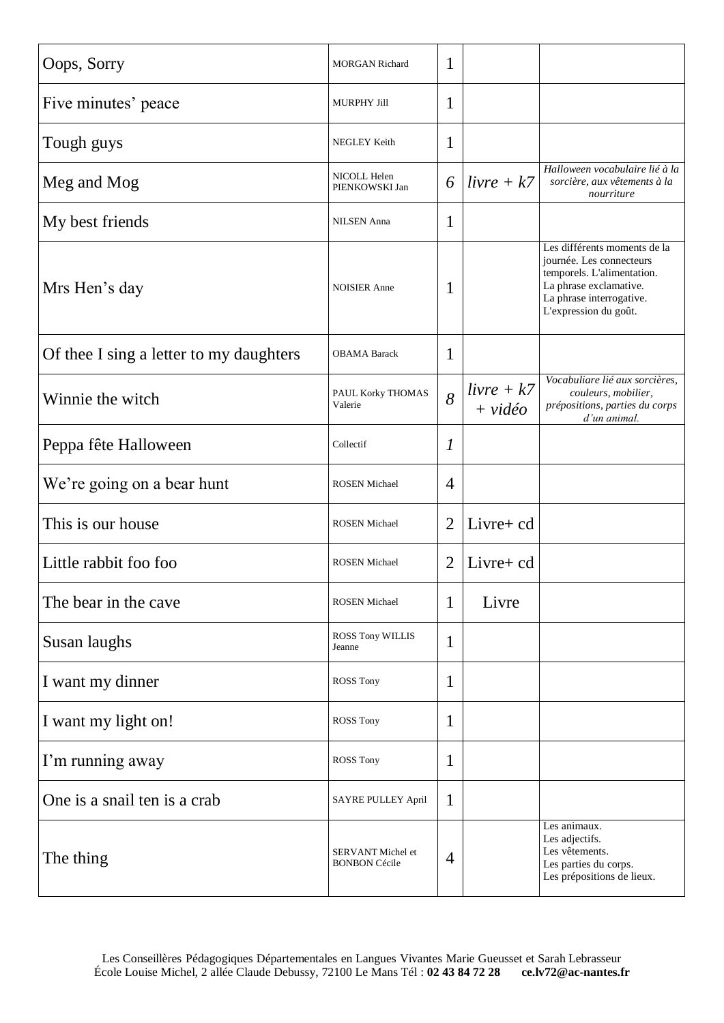| Oops, Sorry                             | <b>MORGAN Richard</b>                     | 1              |                           |                                                                                                                                                                       |
|-----------------------------------------|-------------------------------------------|----------------|---------------------------|-----------------------------------------------------------------------------------------------------------------------------------------------------------------------|
| Five minutes' peace                     | <b>MURPHY Jill</b>                        | 1              |                           |                                                                                                                                                                       |
| Tough guys                              | NEGLEY Keith                              | 1              |                           |                                                                                                                                                                       |
| Meg and Mog                             | NICOLL Helen<br>PIENKOWSKI Jan            | 6              | $livre + k7$              | Halloween vocabulaire lié à la<br>sorcière, aux vêtements à la<br>nourriture                                                                                          |
| My best friends                         | <b>NILSEN</b> Anna                        | 1              |                           |                                                                                                                                                                       |
| Mrs Hen's day                           | <b>NOISIER Anne</b>                       | 1              |                           | Les différents moments de la<br>journée. Les connecteurs<br>temporels. L'alimentation.<br>La phrase exclamative.<br>La phrase interrogative.<br>L'expression du goût. |
| Of thee I sing a letter to my daughters | <b>OBAMA Barack</b>                       | 1              |                           |                                                                                                                                                                       |
| Winnie the witch                        | PAUL Korky THOMAS<br>Valerie              | 8              | $livre + k7$<br>$+$ vidéo | Vocabuliare lié aux sorcières,<br>couleurs, mobilier,<br>prépositions, parties du corps<br>d'un animal.                                                               |
| Peppa fête Halloween                    | Collectif                                 | $\mathcal{I}$  |                           |                                                                                                                                                                       |
| We're going on a bear hunt              | <b>ROSEN</b> Michael                      | $\overline{4}$ |                           |                                                                                                                                                                       |
| This is our house                       | <b>ROSEN</b> Michael                      | $\overline{2}$ | Livre+ cd                 |                                                                                                                                                                       |
| Little rabbit foo foo                   | <b>ROSEN Michael</b>                      | $\overline{2}$ | Livre+ cd                 |                                                                                                                                                                       |
| The bear in the cave                    | <b>ROSEN Michael</b>                      | 1              | Livre                     |                                                                                                                                                                       |
| Susan laughs                            | ROSS Tony WILLIS<br>Jeanne                | 1              |                           |                                                                                                                                                                       |
| I want my dinner                        | <b>ROSS Tony</b>                          | 1              |                           |                                                                                                                                                                       |
| I want my light on!                     | <b>ROSS Tony</b>                          | 1              |                           |                                                                                                                                                                       |
| I'm running away                        | ROSS Tony                                 | 1              |                           |                                                                                                                                                                       |
| One is a snail ten is a crab            | SAYRE PULLEY April                        | 1              |                           |                                                                                                                                                                       |
| The thing                               | SERVANT Michel et<br><b>BONBON Cécile</b> | $\overline{4}$ |                           | Les animaux.<br>Les adjectifs.<br>Les vêtements.<br>Les parties du corps.<br>Les prépositions de lieux.                                                               |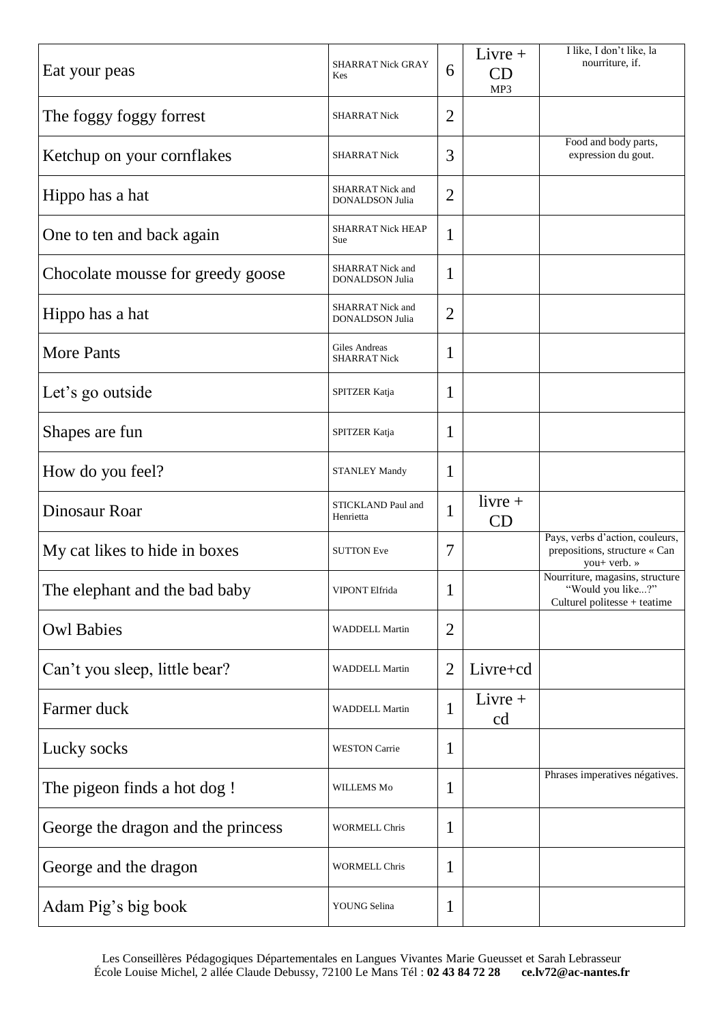| Eat your peas                      | <b>SHARRAT Nick GRAY</b><br>Kes            | 6              | $Livre +$<br>CD<br>MP3 | I like, I don't like, la<br>nourriture, if.                                          |
|------------------------------------|--------------------------------------------|----------------|------------------------|--------------------------------------------------------------------------------------|
| The foggy foggy forrest            | <b>SHARRAT Nick</b>                        | 2              |                        |                                                                                      |
| Ketchup on your cornflakes         | <b>SHARRAT Nick</b>                        | 3              |                        | Food and body parts,<br>expression du gout.                                          |
| Hippo has a hat                    | SHARRAT Nick and<br><b>DONALDSON Julia</b> | $\overline{2}$ |                        |                                                                                      |
| One to ten and back again          | <b>SHARRAT Nick HEAP</b><br>Sue            | 1              |                        |                                                                                      |
| Chocolate mousse for greedy goose  | <b>SHARRAT Nick and</b><br>DONALDSON Julia | 1              |                        |                                                                                      |
| Hippo has a hat                    | <b>SHARRAT Nick and</b><br>DONALDSON Julia | $\overline{2}$ |                        |                                                                                      |
| <b>More Pants</b>                  | Giles Andreas<br><b>SHARRAT Nick</b>       | 1              |                        |                                                                                      |
| Let's go outside                   | SPITZER Katja                              | 1              |                        |                                                                                      |
| Shapes are fun                     | SPITZER Katja                              | 1              |                        |                                                                                      |
| How do you feel?                   | <b>STANLEY Mandy</b>                       | 1              |                        |                                                                                      |
| Dinosaur Roar                      | STICKLAND Paul and<br>Henrietta            | 1              | $livre +$<br>CD        |                                                                                      |
| My cat likes to hide in boxes      | <b>SUTTON Eve</b>                          | 7              |                        | Pays, verbs d'action, couleurs,<br>prepositions, structure « Can<br>you+ verb. »     |
| The elephant and the bad baby      | VIPONT Elfrida                             | $\mathbf{1}$   |                        | Nourriture, magasins, structure<br>"Would you like?"<br>Culturel politesse + teatime |
| <b>Owl Babies</b>                  | <b>WADDELL Martin</b>                      | $\overline{2}$ |                        |                                                                                      |
| Can't you sleep, little bear?      | <b>WADDELL Martin</b>                      | $\overline{2}$ | Livre+cd               |                                                                                      |
| Farmer duck                        | <b>WADDELL Martin</b>                      | $\mathbf{1}$   | $Livre +$<br>cd        |                                                                                      |
| Lucky socks                        | <b>WESTON Carrie</b>                       | 1              |                        |                                                                                      |
| The pigeon finds a hot dog!        | WILLEMS Mo                                 | 1              |                        | Phrases imperatives négatives.                                                       |
| George the dragon and the princess | <b>WORMELL Chris</b>                       | 1              |                        |                                                                                      |
| George and the dragon              | <b>WORMELL Chris</b>                       | 1              |                        |                                                                                      |
| Adam Pig's big book                | YOUNG Selina                               | 1              |                        |                                                                                      |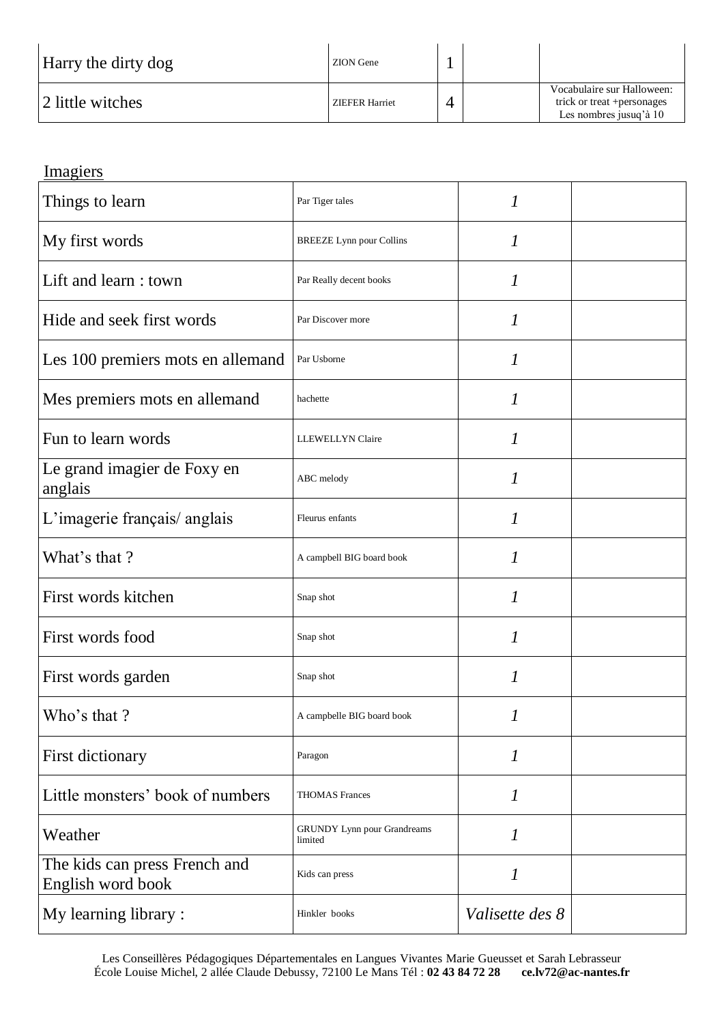| Harry the dirty dog | ZION Gene      |  |                                                                                     |
|---------------------|----------------|--|-------------------------------------------------------------------------------------|
| 12 little witches   | ZIEFER Harriet |  | Vocabulaire sur Halloween:<br>trick or treat + personages<br>Les nombres jusuq'à 10 |

## Imagiers

| Things to learn                                    | Par Tiger tales                               | 1                |  |
|----------------------------------------------------|-----------------------------------------------|------------------|--|
| My first words                                     | <b>BREEZE</b> Lynn pour Collins               | $\boldsymbol{l}$ |  |
| Lift and learn: town                               | Par Really decent books                       | 1                |  |
| Hide and seek first words                          | Par Discover more                             | $\boldsymbol{l}$ |  |
| Les 100 premiers mots en allemand                  | Par Usborne                                   | 1                |  |
| Mes premiers mots en allemand                      | hachette                                      | 1                |  |
| Fun to learn words                                 | <b>LLEWELLYN</b> Claire                       | 1                |  |
| Le grand imagier de Foxy en<br>anglais             | ABC melody                                    | 1                |  |
| L'imagerie français/ anglais                       | Fleurus enfants                               | $\mathcal{I}$    |  |
| What's that?                                       | A campbell BIG board book                     | $\mathcal{I}$    |  |
| First words kitchen                                | Snap shot                                     | $\mathcal{I}$    |  |
| First words food                                   | Snap shot                                     | $\mathcal{I}$    |  |
| First words garden                                 | Snap shot                                     | 1                |  |
| Who's that?                                        | A campbelle BIG board book                    | 1                |  |
| First dictionary                                   | Paragon                                       | 1                |  |
| Little monsters' book of numbers                   | <b>THOMAS Frances</b>                         | $\mathcal{I}$    |  |
| Weather                                            | <b>GRUNDY</b> Lynn pour Grandreams<br>limited | $\boldsymbol{l}$ |  |
| The kids can press French and<br>English word book | Kids can press                                | 1                |  |
| My learning library :                              | Hinkler books                                 | Valisette des 8  |  |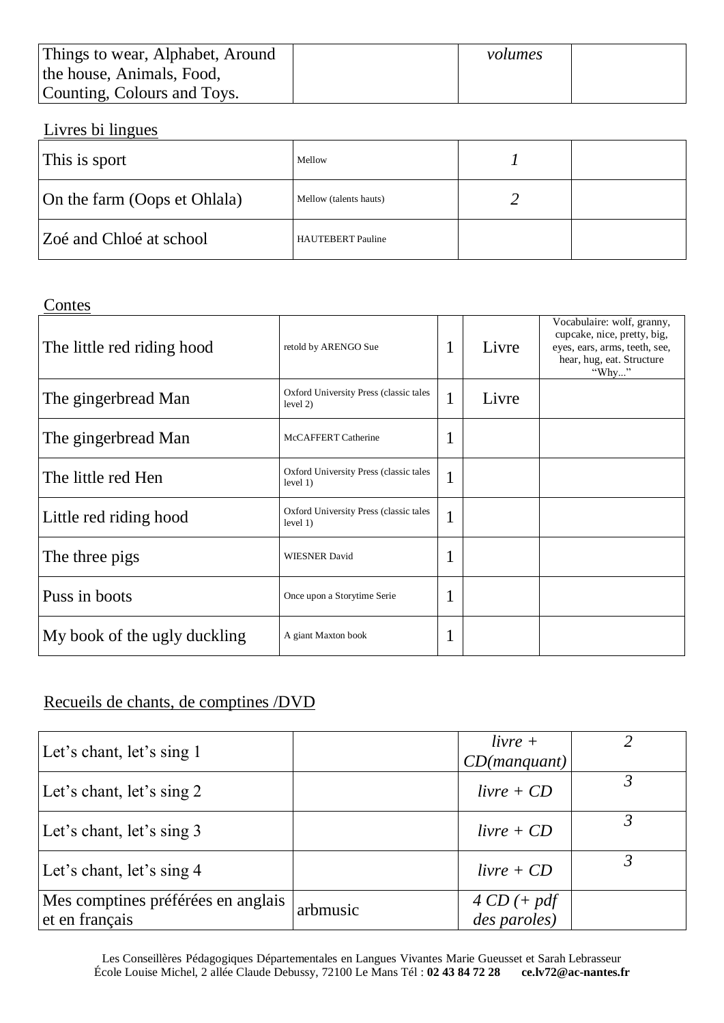| Things to wear, Alphabet, Around | volumes |  |
|----------------------------------|---------|--|
| the house, Animals, Food,        |         |  |
| Counting, Colours and Toys.      |         |  |

### Livres bi lingues

| This is sport                | Mellow                 |  |
|------------------------------|------------------------|--|
| On the farm (Oops et Ohlala) | Mellow (talents hauts) |  |
| Zoé and Chloé at school      | HAUTEBERT Pauline      |  |

#### Contes

| $\sim$ $\sim$ $\sim$         |                                                    |                   |       |                                                                                                                                  |
|------------------------------|----------------------------------------------------|-------------------|-------|----------------------------------------------------------------------------------------------------------------------------------|
| The little red riding hood   | retold by ARENGO Sue                               | 1                 | Livre | Vocabulaire: wolf, granny,<br>cupcake, nice, pretty, big,<br>eyes, ears, arms, teeth, see,<br>hear, hug, eat. Structure<br>"Why" |
| The gingerbread Man          | Oxford University Press (classic tales<br>level 2) | $\mathbf{1}$      | Livre |                                                                                                                                  |
| The gingerbread Man          | McCAFFERT Catherine                                | $\mathbf{I}$      |       |                                                                                                                                  |
| The little red Hen           | Oxford University Press (classic tales<br>level 1) | 1<br>$\mathbf{I}$ |       |                                                                                                                                  |
| Little red riding hood       | Oxford University Press (classic tales<br>level 1) | $\mathbf{I}$      |       |                                                                                                                                  |
| The three pigs               | <b>WIESNER David</b>                               | $\mathbf{I}$      |       |                                                                                                                                  |
| Puss in boots                | Once upon a Storytime Serie                        | $\mathbf{I}$      |       |                                                                                                                                  |
| My book of the ugly duckling | A giant Maxton book                                | -                 |       |                                                                                                                                  |

## Recueils de chants, de comptines /DVD

| Let's chant, let's sing 1                            |          | $livre +$<br>CD(manquant)      |  |
|------------------------------------------------------|----------|--------------------------------|--|
| Let's chant, let's sing 2                            |          | $livre + CD$                   |  |
| Let's chant, let's sing 3                            |          | $livre + CD$                   |  |
| Let's chant, let's sing 4                            |          | $livre + CD$                   |  |
| Mes comptines préférées en anglais<br>et en français | arbmusic | $4 CD (+ pdf)$<br>des paroles) |  |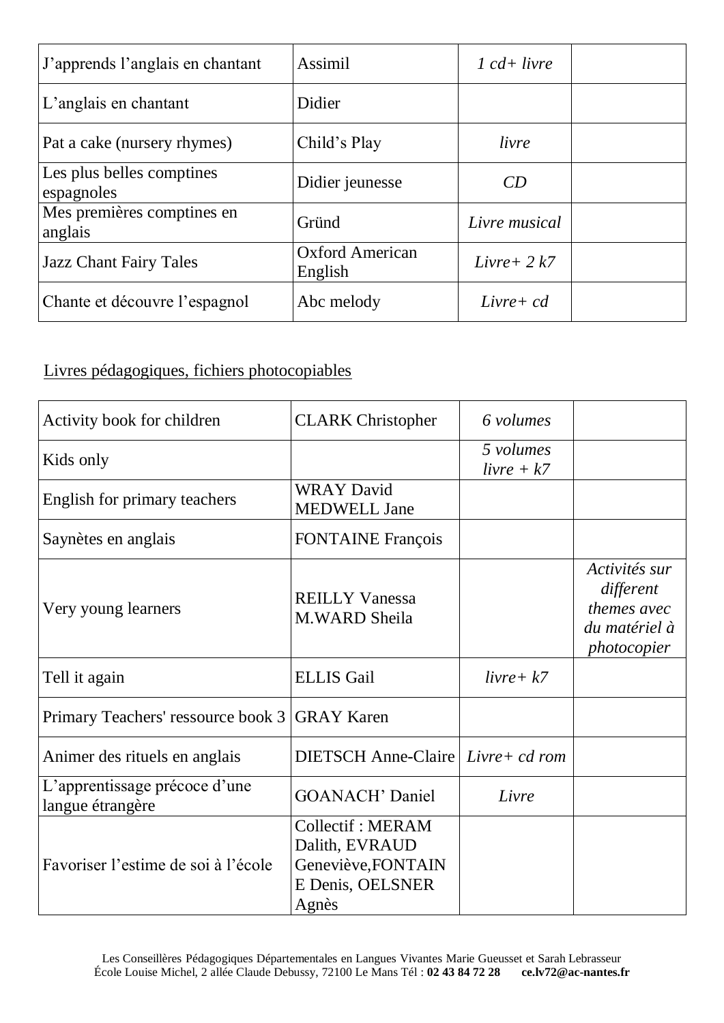| J'apprends l'anglais en chantant        | Assimil                           | $1 cd+ livre$  |  |
|-----------------------------------------|-----------------------------------|----------------|--|
| L'anglais en chantant                   | Didier                            |                |  |
| Pat a cake (nursery rhymes)             | Child's Play                      | livre          |  |
| Les plus belles comptines<br>espagnoles | Didier jeunesse                   | CD             |  |
| Mes premières comptines en<br>anglais   | Gründ                             | Livre musical  |  |
| <b>Jazz Chant Fairy Tales</b>           | <b>Oxford American</b><br>English | Livre + $2 k7$ |  |
| Chante et découvre l'espagnol           | Abc melody                        | $Livre + cd$   |  |

Livres pédagogiques, fichiers photocopiables

| Activity book for children                        | <b>CLARK</b> Christopher                                                              | 6 volumes                 |                                                                           |
|---------------------------------------------------|---------------------------------------------------------------------------------------|---------------------------|---------------------------------------------------------------------------|
| Kids only                                         |                                                                                       | 5 volumes<br>$livre + k7$ |                                                                           |
| English for primary teachers                      | <b>WRAY David</b><br><b>MEDWELL Jane</b>                                              |                           |                                                                           |
| Saynètes en anglais                               | <b>FONTAINE</b> François                                                              |                           |                                                                           |
| Very young learners                               | <b>REILLY Vanessa</b><br>M.WARD Sheila                                                |                           | Activités sur<br>different<br>themes avec<br>du matériel à<br>photocopier |
| Tell it again                                     | <b>ELLIS</b> Gail                                                                     | $livre+ k7$               |                                                                           |
| Primary Teachers' ressource book 3                | <b>GRAY Karen</b>                                                                     |                           |                                                                           |
| Animer des rituels en anglais                     | DIETSCH Anne-Claire Livre+ cd rom                                                     |                           |                                                                           |
| L'apprentissage précoce d'une<br>langue étrangère | <b>GOANACH' Daniel</b>                                                                | Livre                     |                                                                           |
| Favoriser l'estime de soi à l'école               | Collectif: MERAM<br>Dalith, EVRAUD<br>Geneviève, FONTAIN<br>E Denis, OELSNER<br>Agnès |                           |                                                                           |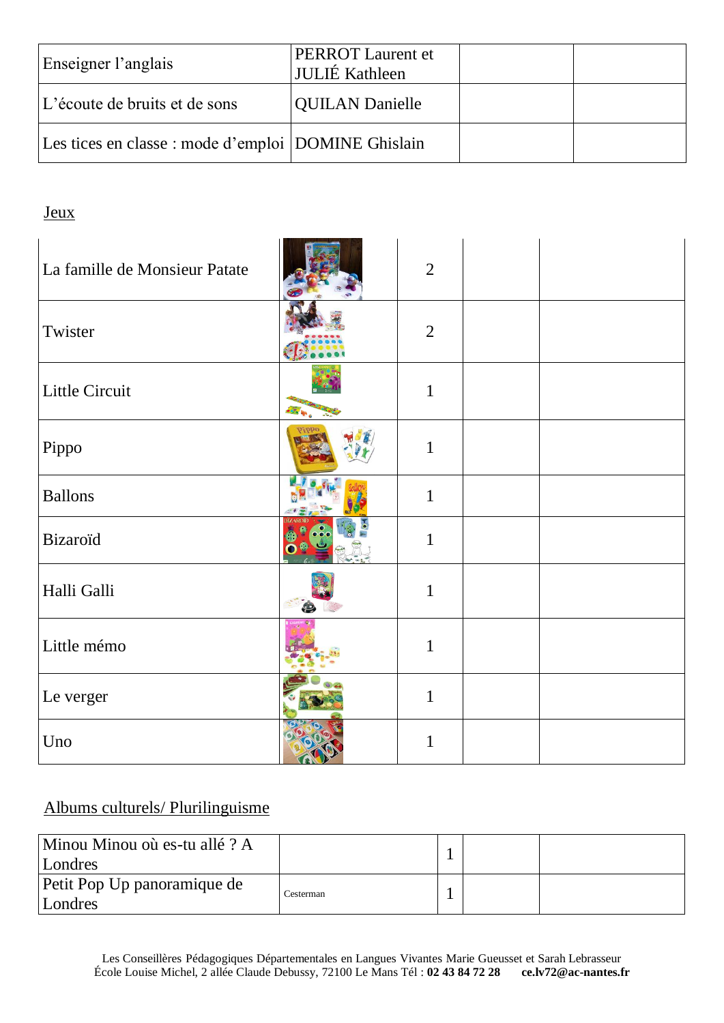| Enseigner l'anglais                                 | <b>PERROT</b> Laurent et<br>JULIÉ Kathleen |  |
|-----------------------------------------------------|--------------------------------------------|--|
| L'écoute de bruits et de sons                       | <b>QUILAN Danielle</b>                     |  |
| Les tices en classe : mode d'emploi DOMINE Ghislain |                                            |  |

### Jeux

| La famille de Monsieur Patate | $\overline{2}$ |  |
|-------------------------------|----------------|--|
| Twister                       | $\overline{2}$ |  |
| Little Circuit                | $\mathbf{1}$   |  |
| Pippo                         | $\mathbf{1}$   |  |
| <b>Ballons</b>                | $\mathbf{1}$   |  |
| <b>Bizaroïd</b>               | $\mathbf{1}$   |  |
| Halli Galli                   | $\mathbf{1}$   |  |
| Little mémo                   | $\mathbf{1}$   |  |
| Le verger                     | $\mathbf{1}$   |  |
| Uno                           | $\mathbf{1}$   |  |

### Albums culturels/ Plurilinguisme

| Minou Minou où es-tu allé ? A<br>Londres |           |  |  |
|------------------------------------------|-----------|--|--|
| Petit Pop Up panoramique de<br>Londres   | Cesterman |  |  |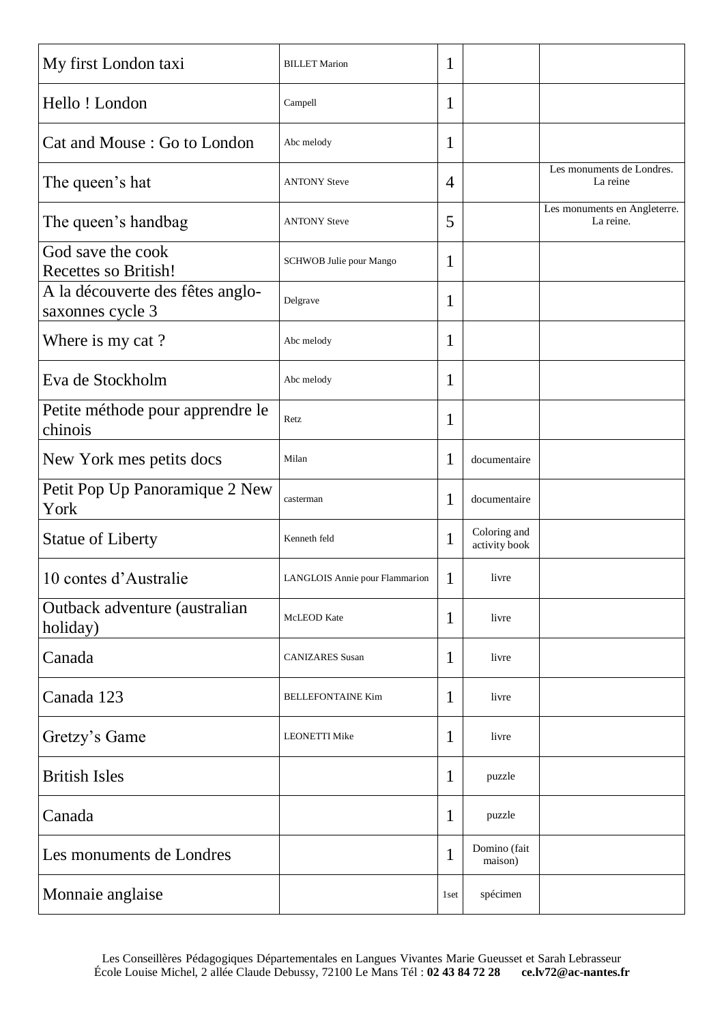| My first London taxi                                 | <b>BILLET</b> Marion           | 1            |                               |                                           |
|------------------------------------------------------|--------------------------------|--------------|-------------------------------|-------------------------------------------|
| Hello ! London                                       | Campell                        | 1            |                               |                                           |
| Cat and Mouse: Go to London                          | Abc melody                     | 1            |                               |                                           |
| The queen's hat                                      | <b>ANTONY Steve</b>            | 4            |                               | Les monuments de Londres.<br>La reine     |
| The queen's handbag                                  | <b>ANTONY Steve</b>            | 5            |                               | Les monuments en Angleterre.<br>La reine. |
| God save the cook<br>Recettes so British!            | SCHWOB Julie pour Mango        | 1            |                               |                                           |
| A la découverte des fêtes anglo-<br>saxonnes cycle 3 | Delgrave                       | 1            |                               |                                           |
| Where is my cat?                                     | Abc melody                     | 1            |                               |                                           |
| Eva de Stockholm                                     | Abc melody                     | 1            |                               |                                           |
| Petite méthode pour apprendre le<br>chinois          | Retz                           | 1            |                               |                                           |
| New York mes petits docs                             | Milan                          | 1            | documentaire                  |                                           |
| Petit Pop Up Panoramique 2 New<br>York               | casterman                      | 1            | documentaire                  |                                           |
| <b>Statue of Liberty</b>                             | Kenneth feld                   | 1            | Coloring and<br>activity book |                                           |
| 10 contes d'Australie                                | LANGLOIS Annie pour Flammarion | 1            | livre                         |                                           |
| Outback adventure (australian<br>holiday)            | McLEOD Kate                    | 1            | livre                         |                                           |
| Canada                                               | <b>CANIZARES</b> Susan         | 1            | livre                         |                                           |
| Canada 123                                           | <b>BELLEFONTAINE Kim</b>       | 1            | livre                         |                                           |
| Gretzy's Game                                        | <b>LEONETTI Mike</b>           | 1            | livre                         |                                           |
| <b>British Isles</b>                                 |                                | 1            | puzzle                        |                                           |
| Canada                                               |                                | $\mathbf{1}$ | puzzle                        |                                           |
| Les monuments de Londres                             |                                | 1            | Domino (fait<br>maison)       |                                           |
| Monnaie anglaise                                     |                                | 1 set        | spécimen                      |                                           |